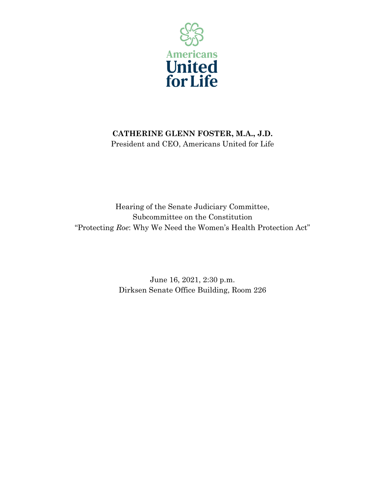

## **CATHERINE GLENN FOSTER, M.A., J.D.** President and CEO, Americans United for Life

Hearing of the Senate Judiciary Committee, Subcommittee on the Constitution "Protecting *Roe*: Why We Need the Women's Health Protection Act"

> June 16, 2021, 2:30 p.m. Dirksen Senate Office Building, Room 226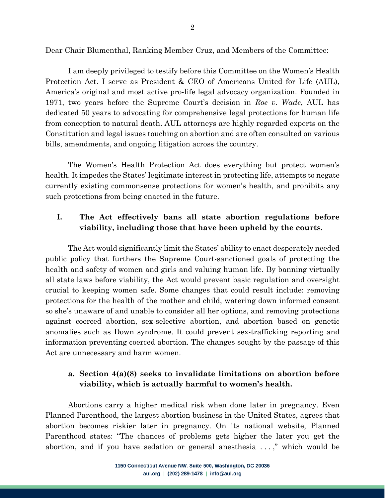Dear Chair Blumenthal, Ranking Member Cruz, and Members of the Committee:

I am deeply privileged to testify before this Committee on the Women's Health Protection Act. I serve as President & CEO of Americans United for Life (AUL), America's original and most active pro-life legal advocacy organization. Founded in 1971, two years before the Supreme Court's decision in *Roe v. Wade*, AUL has dedicated 50 years to advocating for comprehensive legal protections for human life from conception to natural death. AUL attorneys are highly regarded experts on the Constitution and legal issues touching on abortion and are often consulted on various bills, amendments, and ongoing litigation across the country.

The Women's Health Protection Act does everything but protect women's health. It impedes the States' legitimate interest in protecting life, attempts to negate currently existing commonsense protections for women's health, and prohibits any such protections from being enacted in the future.

### **I. The Act effectively bans all state abortion regulations before viability, including those that have been upheld by the courts.**

The Act would significantly limit the States' ability to enact desperately needed public policy that furthers the Supreme Court-sanctioned goals of protecting the health and safety of women and girls and valuing human life. By banning virtually all state laws before viability, the Act would prevent basic regulation and oversight crucial to keeping women safe. Some changes that could result include: removing protections for the health of the mother and child, watering down informed consent so she's unaware of and unable to consider all her options, and removing protections against coerced abortion, sex-selective abortion, and abortion based on genetic anomalies such as Down syndrome. It could prevent sex-trafficking reporting and information preventing coerced abortion. The changes sought by the passage of this Act are unnecessary and harm women.

#### **a. Section 4(a)(8) seeks to invalidate limitations on abortion before viability, which is actually harmful to women's health.**

Abortions carry a higher medical risk when done later in pregnancy. Even Planned Parenthood, the largest abortion business in the United States, agrees that abortion becomes riskier later in pregnancy. On its national website, Planned Parenthood states: "The chances of problems gets higher the later you get the abortion, and if you have sedation or general anesthesia . . . ," which would be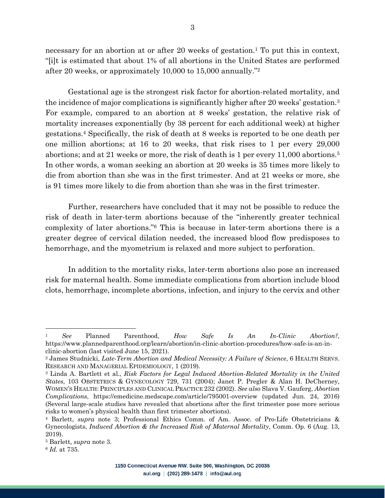necessary for an abortion at or after 20 weeks of gestation.<sup>1</sup> To put this in context, "[i]t is estimated that about 1% of all abortions in the United States are performed after 20 weeks, or approximately 10,000 to 15,000 annually."2

Gestational age is the strongest risk factor for abortion-related mortality, and the incidence of major complications is significantly higher after 20 weeks' gestation.<sup>3</sup> For example, compared to an abortion at 8 weeks' gestation, the relative risk of mortality increases exponentially (by 38 percent for each additional week) at higher gestations.4 Specifically, the risk of death at 8 weeks is reported to be one death per one million abortions; at 16 to 20 weeks, that risk rises to 1 per every 29,000 abortions; and at 21 weeks or more, the risk of death is 1 per every 11,000 abortions.5 In other words, a woman seeking an abortion at 20 weeks is 35 times more likely to die from abortion than she was in the first trimester. And at 21 weeks or more, she is 91 times more likely to die from abortion than she was in the first trimester.

Further, researchers have concluded that it may not be possible to reduce the risk of death in later-term abortions because of the "inherently greater technical complexity of later abortions."6 This is because in later-term abortions there is a greater degree of cervical dilation needed, the increased blood flow predisposes to hemorrhage, and the myometrium is relaxed and more subject to perforation.

In addition to the mortality risks, later-term abortions also pose an increased risk for maternal health. Some immediate complications from abortion include blood clots, hemorrhage, incomplete abortions, infection, and injury to the cervix and other

<sup>1</sup> *See* Planned Parenthood, *How Safe Is An In-Clinic Abortion?*, https://www.plannedparenthood.org/learn/abortion/in-clinic-abortion-procedures/how-safe-is-an-inclinic-abortion (last visited June 15, 2021).

<sup>2</sup> James Studnicki, *Late-Term Abortion and Medical Necessity: A Failure of Science*, 6 HEALTH SERVS. RESEARCH AND MANAGERIAL EPIDEMIOLOGY, 1 (2019).

<sup>3</sup> Linda A. Bartlett et al., *Risk Factors for Legal Induced Abortion-Related Mortality in the United States*, 103 OBSTETRICS & GYNECOLOGY 729, 731 (2004); Janet P. Pregler & Alan H. DeCherney, WOMEN'S HEALTH: PRINCIPLES AND CLINICAL PRACTICE 232 (2002). *See also* Slava V. Gauferg, *Abortion Complications*, https://emedicine.medscape.com/article/795001-overview (updated Jun. 24, 2016) (Several large-scale studies have revealed that abortions after the first trimester pose more serious risks to women's physical health than first trimester abortions).

<sup>4</sup> Barlett, *supra* note 3; Professional Ethics Comm. of Am. Assoc. of Pro-Life Obstetricians & Gynecologists, *Induced Abortion & the Increased Risk of Maternal Mortality*, Comm. Op. 6 (Aug. 13, 2019).

<sup>5</sup> Barlett, *supra* note 3.

<sup>6</sup> *Id.* at 735.

<sup>1150</sup> Connecticut Avenue NW, Suite 500, Washington, DC 20036 aul.org | (202) 289-1478 | info@aul.org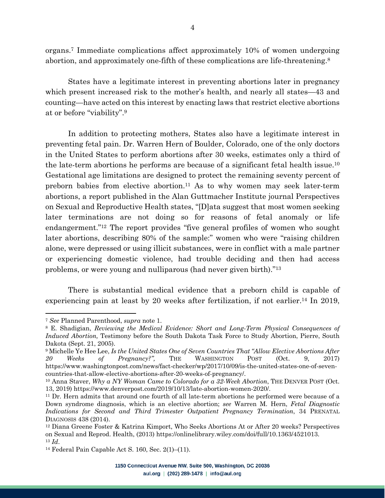organs.7 Immediate complications affect approximately 10% of women undergoing abortion, and approximately one-fifth of these complications are life-threatening.<sup>8</sup>

States have a legitimate interest in preventing abortions later in pregnancy which present increased risk to the mother's health, and nearly all states—43 and counting—have acted on this interest by enacting laws that restrict elective abortions at or before "viability".9

In addition to protecting mothers, States also have a legitimate interest in preventing fetal pain. Dr. Warren Hern of Boulder, Colorado, one of the only doctors in the United States to perform abortions after 30 weeks, estimates only a third of the late-term abortions he performs are because of a significant fetal health issue.10 Gestational age limitations are designed to protect the remaining seventy percent of preborn babies from elective abortion.11 As to why women may seek later-term abortions, a report published in the Alan Guttmacher Institute journal Perspectives on Sexual and Reproductive Health states, "[D]ata suggest that most women seeking later terminations are not doing so for reasons of fetal anomaly or life endangerment."12 The report provides "five general profiles of women who sought later abortions, describing 80% of the sample:" women who were "raising children alone, were depressed or using illicit substances, were in conflict with a male partner or experiencing domestic violence, had trouble deciding and then had access problems, or were young and nulliparous (had never given birth)."13

There is substantial medical evidence that a preborn child is capable of experiencing pain at least by 20 weeks after fertilization, if not earlier.<sup>14</sup> In 2019,

<sup>7</sup> *See* Planned Parenthood, *supra* note 1.

<sup>8</sup> E. Shadigian, *Reviewing the Medical Evidence: Short and Long-Term Physical Consequences of Induced Abortion,* Testimony before the South Dakota Task Force to Study Abortion, Pierre, South Dakota (Sept. 21, 2005).

<sup>9</sup> Michelle Ye Hee Lee, *Is the United States One of Seven Countries That "Allow Elective Abortions After 20 Weeks of Pregnancy?",* THE WASHINGTON POST (Oct. 9, 2017) https://www.washingtonpost.com/news/fact-checker/wp/2017/10/09/is-the-united-states-one-of-sevencountries-that-allow-elective-abortions-after-20-weeks-of-pregnancy/.

<sup>10</sup> Anna Staver, *Why a NY Woman Came to Colorado for a 32-Week Abortion*, THE DENVER POST (Oct. 13, 2019) https://www.denverpost.com/2019/10/13/late-abortion-women-2020/.

<sup>11</sup> Dr. Hern admits that around one fourth of all late-term abortions he performed were because of a Down syndrome diagnosis, which is an elective abortion; *see* Warren M. Hern, *Fetal Diagnostic Indications for Second and Third Trimester Outpatient Pregnancy Termination*, 34 PRENATAL DIAGNOSIS 438 (2014).

<sup>12</sup> Diana Greene Foster & Katrina Kimport, Who Seeks Abortions At or After 20 weeks? Perspectives on Sexual and Reprod. Health, (2013) https://onlinelibrary.wiley.com/doi/full/10.1363/4521013. <sup>13</sup> *Id*.

<sup>14</sup> Federal Pain Capable Act S. 160, Sec. 2(1)–(11).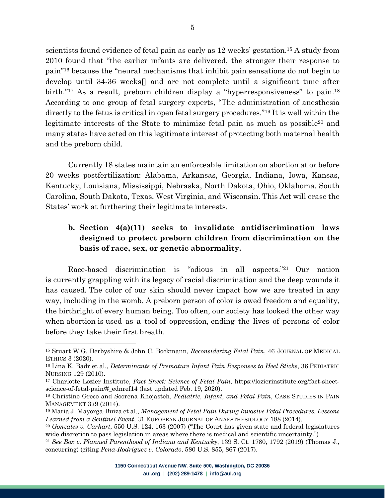scientists found evidence of fetal pain as early as 12 weeks' gestation.15 A study from 2010 found that "the earlier infants are delivered, the stronger their response to pain"16 because the "neural mechanisms that inhibit pain sensations do not begin to develop until 34-36 weeks[] and are not complete until a significant time after birth."<sup>17</sup> As a result, preborn children display a "hyperresponsiveness" to pain.<sup>18</sup> According to one group of fetal surgery experts, "The administration of anesthesia directly to the fetus is critical in open fetal surgery procedures."19 It is well within the legitimate interests of the State to minimize fetal pain as much as possible<sup>20</sup> and many states have acted on this legitimate interest of protecting both maternal health and the preborn child.

Currently 18 states maintain an enforceable limitation on abortion at or before 20 weeks postfertilization: Alabama, Arkansas, Georgia, Indiana, Iowa, Kansas, Kentucky, Louisiana, Mississippi, Nebraska, North Dakota, Ohio, Oklahoma, South Carolina, South Dakota, Texas, West Virginia, and Wisconsin. This Act will erase the States' work at furthering their legitimate interests.

### **b. Section 4(a)(11) seeks to invalidate antidiscrimination laws designed to protect preborn children from discrimination on the basis of race, sex, or genetic abnormality.**

Race-based discrimination is "odious in all aspects."21 Our nation is currently grappling with its legacy of racial discrimination and the deep wounds it has caused. The color of our skin should never impact how we are treated in any way, including in the womb. A preborn person of color is owed freedom and equality, the birthright of every human being. Too often, our society has looked the other way when abortion is used as a tool of oppression, ending the lives of persons of color before they take their first breath.

<sup>15</sup> Stuart W.G. Derbyshire & John C. Bockmann, *Reconsidering Fetal Pain*, 46 JOURNAL OF MEDICAL ETHICS 3 (2020).

<sup>16</sup> Lina K. Badr et al., *Determinants of Premature Infant Pain Responses to Heel Sticks*, 36 PEDIATRIC NURSING 129 (2010).

<sup>17</sup> Charlotte Lozier Institute, *Fact Sheet: Science of Fetal Pain*, https://lozierinstitute.org/fact-sheetscience-of-fetal-pain/#\_ednref14 (last updated Feb. 19, 2020).

<sup>18</sup> Christine Greco and Soorena Khojasteh, *Pediatric, Infant, and Fetal Pain*, CASE STUDIES IN PAIN MANAGEMENT 379 (2014).

<sup>19</sup> Maria J. Mayorga-Buiza et al., *Management of Fetal Pain During Invasive Fetal Procedures. Lessons Learned from a Sentinel Event*, 31 EUROPEAN JOURNAL OF ANAESTHESIOLOGY 188 (2014).

<sup>20</sup> *Gonzales v. Carhart*, 550 U.S. 124, 163 (2007) ("The Court has given state and federal legislatures wide discretion to pass legislation in areas where there is medical and scientific uncertainty.")

<sup>21</sup> *See Box v. Planned Parenthood of Indiana and Kentucky*, 139 S. Ct. 1780, 1792 (2019) (Thomas J., concurring) (citing *Pena-Rodriguez v. Colorado*, 580 U.S. 855, 867 (2017).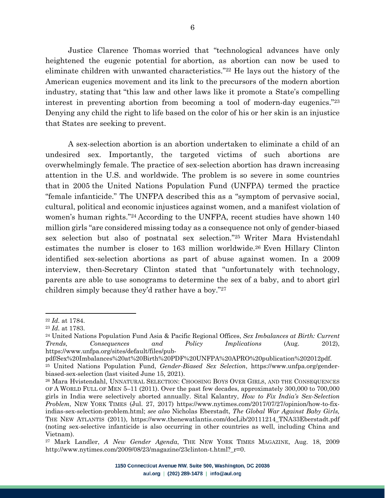Justice Clarence Thomas worried that "technological advances have only heightened the eugenic potential for abortion, as abortion can now be used to eliminate children with unwanted characteristics."22 He lays out the history of the American eugenics movement and its link to the precursors of the modern abortion industry, stating that "this law and other laws like it promote a State's compelling interest in preventing abortion from becoming a tool of modern-day eugenics."23 Denying any child the right to life based on the color of his or her skin is an injustice that States are seeking to prevent.

6

A sex-selection abortion is an abortion undertaken to eliminate a child of an undesired sex. Importantly, the targeted victims of such abortions are overwhelmingly female. The practice of sex-selection abortion has drawn increasing attention in the U.S. and worldwide. The problem is so severe in some countries that in 2005 the United Nations Population Fund (UNFPA) termed the practice "female infanticide." The UNFPA described this as a "symptom of pervasive social, cultural, political and economic injustices against women, and a manifest violation of women's human rights."24 According to the UNFPA, recent studies have shown 140 million girls "are considered missing today as a consequence not only of gender-biased sex selection but also of postnatal sex selection."25 Writer Mara Hvistendahl estimates the number is closer to 163 million worldwide.26 Even Hillary Clinton identified sex-selection abortions as part of abuse against women. In a 2009 interview, then-Secretary Clinton stated that "unfortunately with technology, parents are able to use sonograms to determine the sex of a baby, and to abort girl children simply because they'd rather have a boy."27

<sup>22</sup> *Id.* at 1784.

<sup>23</sup> *Id.* at 1783.

<sup>24</sup> United Nations Population Fund Asia & Pacific Regional Offices, *Sex Imbalances at Birth: Current Trends, Consequences and Policy Implications* (Aug. 2012), https://www.unfpa.org/sites/default/files/pub-

pdf/Sex%20Imbalances%20at%20Birth%20PDF%20UNFPA%20APRO%20publication%202012pdf. <sup>25</sup> United Nations Population Fund, *Gender-Biased Sex Selection*, https://www.unfpa.org/genderbiased-sex-selection (last visited June 15, 2021).

<sup>26</sup> Mara Hvistendahl, UNNATURAL SELECTION: CHOOSING BOYS OVER GIRLS, AND THE CONSEQUENCES OF A WORLD FULL OF MEN 5–11 (2011). Over the past few decades, approximately 300,000 to 700,000 girls in India were selectively aborted annually. Sital Kalantry, *How to Fix India's Sex-Selection Problem*, NEW YORK TIMES (Jul. 27, 2017) https://www.nytimes.com/2017/07/27/opinion/how-to-fixindias-sex-selection-problem.html; *see also* Nicholas Eberstadt, *The Global War Against Baby Girls,*  THE NEW ATLANTIS (2011), https://www.thenewatlantis.com/docLib/20111214\_TNA33Eberstadt.pdf (noting sex-selective infanticide is also occurring in other countries as well, including China and Vietnam).

<sup>27</sup> Mark Landler, *A New Gender Agenda*, THE NEW YORK TIMES MAGAZINE, Aug. 18, 2009 http://www.nytimes.com/2009/08/23/magazine/23clinton-t.html?\_r=0.

<sup>1150</sup> Connecticut Avenue NW, Suite 500, Washington, DC 20036 aul.org | (202) 289-1478 | info@aul.org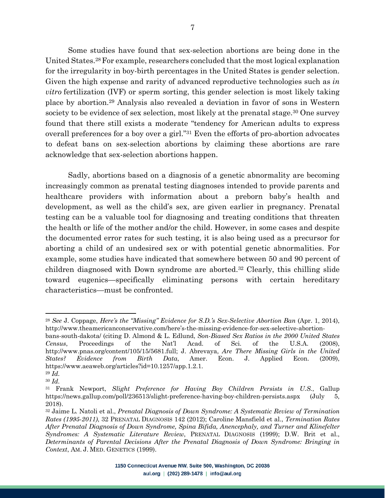Some studies have found that sex-selection abortions are being done in the United States.28For example, researchers concluded that the most logical explanation for the irregularity in boy-birth percentages in the United States is gender selection. Given the high expense and rarity of advanced reproductive technologies such as *in vitro* fertilization (IVF) or sperm sorting, this gender selection is most likely taking place by abortion.29 Analysis also revealed a deviation in favor of sons in Western society to be evidence of sex selection, most likely at the prenatal stage.<sup>30</sup> One survey found that there still exists a moderate "tendency for American adults to express overall preferences for a boy over a girl."31 Even the efforts of pro-abortion advocates to defeat bans on sex-selection abortions by claiming these abortions are rare acknowledge that sex-selection abortions happen.

Sadly, abortions based on a diagnosis of a genetic abnormality are becoming increasingly common as prenatal testing diagnoses intended to provide parents and healthcare providers with information about a preborn baby's health and development, as well as the child's sex, are given earlier in pregnancy. Prenatal testing can be a valuable tool for diagnosing and treating conditions that threaten the health or life of the mother and/or the child. However, in some cases and despite the documented error rates for such testing, it is also being used as a precursor for aborting a child of an undesired sex or with potential genetic abnormalities. For example, some studies have indicated that somewhere between 50 and 90 percent of children diagnosed with Down syndrome are aborted.32 Clearly, this chilling slide toward eugenics—specifically eliminating persons with certain hereditary characteristics—must be confronted.

<sup>&</sup>lt;sup>28</sup> See J. Coppage, *Here's the "Missing" Evidence for S.D.'s Sex-Selective Abortion Ban* (Apr. 1, 2014), http://www.theamericanconservative.com/here's-the-missing-evidence-for-sex-selective-abortion-

bans-south-dakota/ (citing D. Almond & L. Edlund, *Son-Biased Sex Ratios in the 2000 United States Census*, Proceedings of the Nat'l Acad. of Sci. of the U.S.A. (2008), http://www.pnas.org/content/105/15/5681.full; J. Abrevaya, *Are There Missing Girls in the United States? Evidence from Birth Data*, Amer. Econ. J. Applied Econ. (2009), https://www.aeaweb.org/articles?id=10.1257/app.1.2.1. <sup>29</sup> *Id.*

<sup>30</sup> *Id.*

<sup>31</sup> Frank Newport, *Slight Preference for Having Boy Children Persists in U.S.*, Gallup https://news.gallup.com/poll/236513/slight-preference-having-boy-children-persists.aspx (July 5, 2018).

<sup>32</sup> Jaime L. Natoli et al., *Prenatal Diagnosis of Down Syndrome: A Systematic Review of Termination Rates (1995-2011)*, 32 PRENATAL DIAGNOSIS 142 (2012); Caroline Mansfield et al., *Termination Rates After Prenatal Diagnosis of Down Syndrome, Spina Bifida, Anencephaly, and Turner and Klinefelter Syndromes: A Systematic Literature Review*, PRENATAL DIAGNOSIS (1999); D.W. Brit et al., *Determinants of Parental Decisions After the Prenatal Diagnosis of Down Syndrome: Bringing in Context*, AM. J. MED. GENETICS (1999).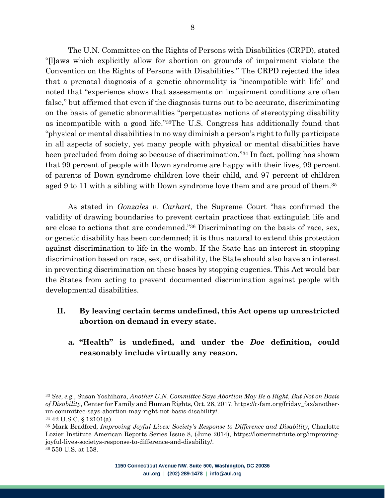The U.N. Committee on the Rights of Persons with Disabilities (CRPD), stated "[l]aws which explicitly allow for abortion on grounds of impairment violate the Convention on the Rights of Persons with Disabilities." The CRPD rejected the idea that a prenatal diagnosis of a genetic abnormality is "incompatible with life" and noted that "experience shows that assessments on impairment conditions are often false," but affirmed that even if the diagnosis turns out to be accurate, discriminating on the basis of genetic abnormalities "perpetuates notions of stereotyping disability as incompatible with a good life."33The U.S. Congress has additionally found that "physical or mental disabilities in no way diminish a person's right to fully participate in all aspects of society, yet many people with physical or mental disabilities have been precluded from doing so because of discrimination."34 In fact, polling has shown that 99 percent of people with Down syndrome are happy with their lives, 99 percent of parents of Down syndrome children love their child, and 97 percent of children aged 9 to 11 with a sibling with Down syndrome love them and are proud of them.35

As stated in *Gonzales v. Carhart*, the Supreme Court "has confirmed the validity of drawing boundaries to prevent certain practices that extinguish life and are close to actions that are condemned."36 Discriminating on the basis of race, sex, or genetic disability has been condemned; it is thus natural to extend this protection against discrimination to life in the womb. If the State has an interest in stopping discrimination based on race, sex, or disability, the State should also have an interest in preventing discrimination on these bases by stopping eugenics. This Act would bar the States from acting to prevent documented discrimination against people with developmental disabilities.

- **II. By leaving certain terms undefined, this Act opens up unrestricted abortion on demand in every state.** 
	- **a. "Health" is undefined, and under the** *Doe* **definition, could reasonably include virtually any reason.**

<sup>33</sup> *See*, *e.g.*, Susan Yoshihara, *Another U.N. Committee Says Abortion May Be a Right, But Not on Basis of Disability*, Center for Family and Human Rights, Oct. 26, 2017, https://c-fam.org/friday\_fax/anotherun-committee-says-abortion-may-right-not-basis-disability/.

<sup>34</sup> 42 U.S.C. § 12101(a).

<sup>35</sup> Mark Bradford, *Improving Joyful Lives: Society's Response to Difference and Disability*, Charlotte Lozier Institute American Reports Series Issue 8, (June 2014), https://lozierinstitute.org/improvingjoyful-lives-societys-response-to-difference-and-disability/. <sup>36</sup> 550 U.S. at 158.

<sup>1150</sup> Connecticut Avenue NW, Suite 500, Washington, DC 20036 aul.org | (202) 289-1478 | info@aul.org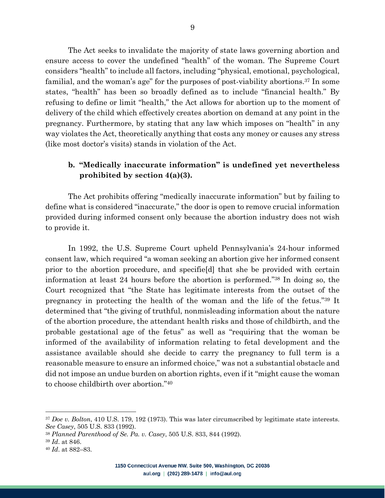The Act seeks to invalidate the majority of state laws governing abortion and ensure access to cover the undefined "health" of the woman. The Supreme Court considers "health" to include all factors, including "physical, emotional, psychological, familial, and the woman's age" for the purposes of post-viability abortions.37 In some states, "health" has been so broadly defined as to include "financial health." By refusing to define or limit "health," the Act allows for abortion up to the moment of delivery of the child which effectively creates abortion on demand at any point in the pregnancy. Furthermore, by stating that any law which imposes on "health" in any way violates the Act, theoretically anything that costs any money or causes any stress (like most doctor's visits) stands in violation of the Act.

#### **b. "Medically inaccurate information" is undefined yet nevertheless prohibited by section 4(a)(3).**

The Act prohibits offering "medically inaccurate information" but by failing to define what is considered "inaccurate," the door is open to remove crucial information provided during informed consent only because the abortion industry does not wish to provide it.

In 1992, the U.S. Supreme Court upheld Pennsylvania's 24-hour informed consent law, which required "a woman seeking an abortion give her informed consent prior to the abortion procedure, and specifie[d] that she be provided with certain information at least 24 hours before the abortion is performed."38 In doing so, the Court recognized that "the State has legitimate interests from the outset of the pregnancy in protecting the health of the woman and the life of the fetus."39 It determined that "the giving of truthful, nonmisleading information about the nature of the abortion procedure, the attendant health risks and those of childbirth, and the probable gestational age of the fetus" as well as "requiring that the woman be informed of the availability of information relating to fetal development and the assistance available should she decide to carry the pregnancy to full term is a reasonable measure to ensure an informed choice," was not a substantial obstacle and did not impose an undue burden on abortion rights, even if it "might cause the woman to choose childbirth over abortion."40

<sup>37</sup> *Doe v. Bolton*, 410 U.S. 179, 192 (1973). This was later circumscribed by legitimate state interests. *See Casey*, 505 U.S. 833 (1992).

<sup>38</sup> *Planned Parenthood of Se. Pa. v. Casey*, 505 U.S. 833, 844 (1992).

<sup>39</sup> *Id*. at 846.

<sup>40</sup> *Id*. at 882–83.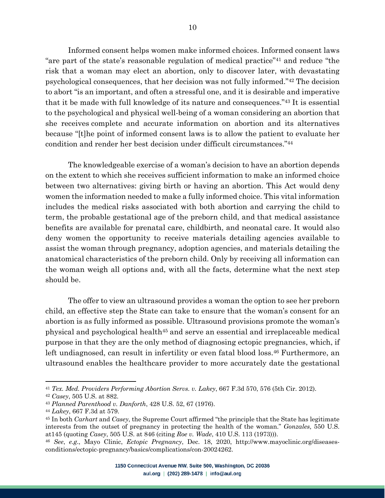Informed consent helps women make informed choices. Informed consent laws "are part of the state's reasonable regulation of medical practice"41 and reduce "the risk that a woman may elect an abortion, only to discover later, with devastating psychological consequences, that her decision was not fully informed."42 The decision to abort "is an important, and often a stressful one, and it is desirable and imperative that it be made with full knowledge of its nature and consequences."43 It is essential to the psychological and physical well-being of a woman considering an abortion that she receives complete and accurate information on abortion and its alternatives because "[t]he point of informed consent laws is to allow the patient to evaluate her condition and render her best decision under difficult circumstances."44

The knowledgeable exercise of a woman's decision to have an abortion depends on the extent to which she receives sufficient information to make an informed choice between two alternatives: giving birth or having an abortion. This Act would deny women the information needed to make a fully informed choice. This vital information includes the medical risks associated with both abortion and carrying the child to term, the probable gestational age of the preborn child, and that medical assistance benefits are available for prenatal care, childbirth, and neonatal care. It would also deny women the opportunity to receive materials detailing agencies available to assist the woman through pregnancy, adoption agencies, and materials detailing the anatomical characteristics of the preborn child. Only by receiving all information can the woman weigh all options and, with all the facts, determine what the next step should be.

The offer to view an ultrasound provides a woman the option to see her preborn child, an effective step the State can take to ensure that the woman's consent for an abortion is as fully informed as possible. Ultrasound provisions promote the woman's physical and psychological health45 and serve an essential and irreplaceable medical purpose in that they are the only method of diagnosing ectopic pregnancies, which, if left undiagnosed, can result in infertility or even fatal blood loss.<sup>46</sup> Furthermore, an ultrasound enables the healthcare provider to more accurately date the gestational

<sup>41</sup> *Tex. Med. Providers Performing Abortion Servs. v. Lakey*, 667 F.3d 570, 576 (5th Cir. 2012).

<sup>42</sup> *Casey*, 505 U.S. at 882.

<sup>43</sup> *Planned Parenthood v. Danforth*, 428 U.S. 52, 67 (1976).

<sup>44</sup> *Lakey*, 667 F.3d at 579.

<sup>45</sup> In both *Carhart* and *Casey*, the Supreme Court affirmed "the principle that the State has legitimate interests from the outset of pregnancy in protecting the health of the woman." *Gonzales*, 550 U.S. at145 (quoting *Casey*, 505 U.S. at 846 (citing *Roe v. Wade*, 410 U.S. 113 (1973))).

<sup>46</sup> *See*, *e.g*., Mayo Clinic, *Ectopic Pregnancy*, Dec. 18, 2020, http://www.mayoclinic.org/diseasesconditions/ectopic-pregnancy/basics/complications/con-20024262.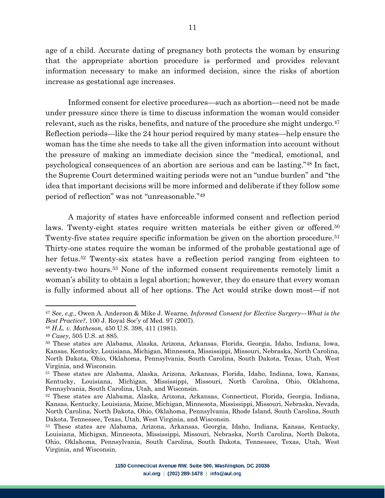age of a child. Accurate dating of pregnancy both protects the woman by ensuring that the appropriate abortion procedure is performed and provides relevant information necessary to make an informed decision, since the risks of abortion increase as gestational age increases.

Informed consent for elective procedures—such as abortion—need not be made under pressure since there is time to discuss information the woman would consider relevant, such as the risks, benefits, and nature of the procedure she might undergo.<sup>47</sup> Reflection periods—like the 24 hour period required by many states—help ensure the woman has the time she needs to take all the given information into account without the pressure of making an immediate decision since the "medical, emotional, and psychological consequences of an abortion are serious and can be lasting."48 In fact, the Supreme Court determined waiting periods were not an "undue burden" and "the idea that important decisions will be more informed and deliberate if they follow some period of reflection" was not "unreasonable."49

A majority of states have enforceable informed consent and reflection period laws. Twenty-eight states require written materials be either given or offered.<sup>50</sup> Twenty-five states require specific information be given on the abortion procedure.51 Thirty-one states require the woman be informed of the probable gestational age of her fetus.52 Twenty-six states have a reflection period ranging from eighteen to seventy-two hours.53 None of the informed consent requirements remotely limit a woman's ability to obtain a legal abortion; however, they do ensure that every woman is fully informed about all of her options. The Act would strike down most—if not

<sup>47</sup> *See*, *e.g.,* Owen A. Anderson & Mike J. Wearne, *Informed Consent for Elective Surgery—What is the Best Practice?*, 100 J. Royal Soc'y of Med. 97 (2007).

<sup>48</sup> *H.L. v. Matheson,* 450 U.S. 398, 411 (1981).

<sup>49</sup> *Casey*, 505 U.S. at 885.

<sup>50</sup> These states are Alabama, Alaska, Arizona, Arkansas, Florida, Georgia, Idaho, Indiana, Iowa, Kansas, Kentucky, Louisiana, Michigan, Minnesota, Mississippi, Missouri, Nebraska, North Carolina, North Dakota, Ohio, Oklahoma, Pennsylvania, South Carolina, South Dakota, Texas, Utah, West Virginia, and Wisconsin.

<sup>51</sup> These states are Alabama, Alaska, Arizona, Arkansas, Florida, Idaho, Indiana, Iowa, Kansas, Kentucky, Louisiana, Michigan, Mississippi, Missouri, North Carolina, Ohio, Oklahoma, Pennsylvania, South Carolina, Utah, and Wisconsin.

<sup>52</sup> These states are Alabama, Alaska, Arizona, Arkansas, Connecticut, Florida, Georgia, Indiana, Kansas, Kentucky, Louisiana, Maine, Michigan, Minnesota, Mississippi, Missouri, Nebraska, Nevada, North Carolina, North Dakota, Ohio, Oklahoma, Pennsylvania, Rhode Island, South Carolina, South Dakota, Tennessee, Texas, Utah, West Virginia, and Wisconsin.

<sup>53</sup> These states are Alabama, Arizona, Arkansas, Georgia, Idaho, Indiana, Kansas, Kentucky, Louisiana, Michigan, Minnesota, Mississippi, Missouri, Nebraska, North Carolina, North Dakota, Ohio, Oklahoma, Pennsylvania, South Carolina, South Dakota, Tennessee, Texas, Utah, West Virginia, and Wisconsin.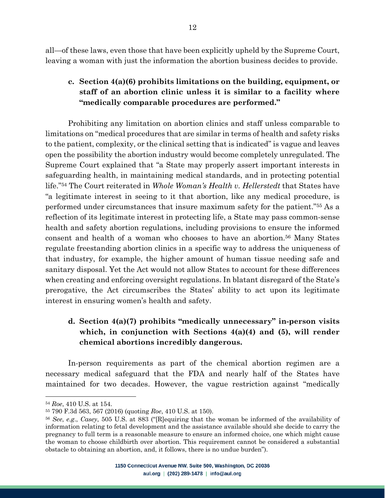all—of these laws, even those that have been explicitly upheld by the Supreme Court, leaving a woman with just the information the abortion business decides to provide.

# **c. Section 4(a)(6) prohibits limitations on the building, equipment, or staff of an abortion clinic unless it is similar to a facility where "medically comparable procedures are performed."**

Prohibiting any limitation on abortion clinics and staff unless comparable to limitations on "medical procedures that are similar in terms of health and safety risks to the patient, complexity, or the clinical setting that is indicated" is vague and leaves open the possibility the abortion industry would become completely unregulated. The Supreme Court explained that "a State may properly assert important interests in safeguarding health, in maintaining medical standards, and in protecting potential life."54 The Court reiterated in *Whole Woman's Health v. Hellerstedt* that States have "a legitimate interest in seeing to it that abortion, like any medical procedure, is performed under circumstances that insure maximum safety for the patient."55 As a reflection of its legitimate interest in protecting life, a State may pass common-sense health and safety abortion regulations, including provisions to ensure the informed consent and health of a woman who chooses to have an abortion.56 Many States regulate freestanding abortion clinics in a specific way to address the uniqueness of that industry, for example, the higher amount of human tissue needing safe and sanitary disposal. Yet the Act would not allow States to account for these differences when creating and enforcing oversight regulations. In blatant disregard of the State's prerogative, the Act circumscribes the States' ability to act upon its legitimate interest in ensuring women's health and safety.

## **d. Section 4(a)(7) prohibits "medically unnecessary" in-person visits which, in conjunction with Sections 4(a)(4) and (5), will render chemical abortions incredibly dangerous.**

In-person requirements as part of the chemical abortion regimen are a necessary medical safeguard that the FDA and nearly half of the States have maintained for two decades. However, the vague restriction against "medically

<sup>54</sup> *Roe*, 410 U.S. at 154.

<sup>55</sup> 790 F.3d 563, 567 (2016) (quoting *Roe*, 410 U.S. at 150).

<sup>56</sup> *See*, *e.g*., *Casey*, 505 U.S. at 883 ("[R]equiring that the woman be informed of the availability of information relating to fetal development and the assistance available should she decide to carry the pregnancy to full term is a reasonable measure to ensure an informed choice, one which might cause the woman to choose childbirth over abortion. This requirement cannot be considered a substantial obstacle to obtaining an abortion, and, it follows, there is no undue burden").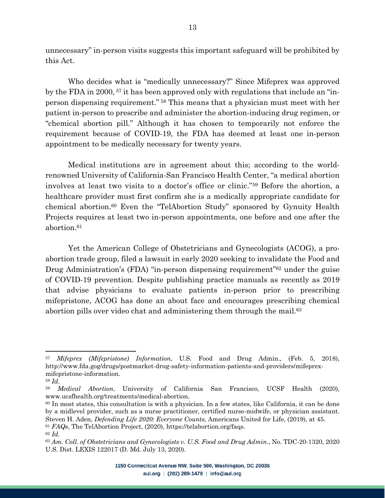unnecessary" in-person visits suggests this important safeguard will be prohibited by this Act.

Who decides what is "medically unnecessary?" Since Mifeprex was approved by the FDA in 2000, <sup>57</sup> it has been approved only with regulations that include an "inperson dispensing requirement." <sup>58</sup> This means that a physician must meet with her patient in-person to prescribe and administer the abortion-inducing drug regimen, or "chemical abortion pill." Although it has chosen to temporarily not enforce the requirement because of COVID-19, the FDA has deemed at least one in-person appointment to be medically necessary for twenty years.

Medical institutions are in agreement about this; according to the worldrenowned University of California-San Francisco Health Center, "a medical abortion involves at least two visits to a doctor's office or clinic."59 Before the abortion, a healthcare provider must first confirm she is a medically appropriate candidate for chemical abortion.60 Even the "TelAbortion Study" sponsored by Gynuity Health Projects requires at least two in-person appointments, one before and one after the abortion.61

Yet the American College of Obstetricians and Gynecologists (ACOG), a proabortion trade group, filed a lawsuit in early 2020 seeking to invalidate the Food and Drug Administration's (FDA) "in-person dispensing requirement"<sup>62</sup> under the guise of COVID-19 prevention. Despite publishing practice manuals as recently as 2019 that advise physicians to evaluate patients in-person prior to prescribing mifepristone, ACOG has done an about face and encourages prescribing chemical abortion pills over video chat and administering them through the mail.63

<sup>57</sup> *Mifeprex (Mifepristone) Information,* U.S. Food and Drug Admin., (Feb. 5, 2018), http://www.fda.gog/drugs/postmarket-drug-safety-information-patients-and-providers/mifeprexmifepristone-information.

<sup>58</sup> *Id.*

<sup>59</sup> *Medical Abortion*, University of California San Francisco, UCSF Health (2020), www.ucsfhealth.org/treatments/medical-abortion.

<sup>60</sup> In most states, this consultation is with a physician. In a few states, like California, it can be done by a midlevel provider, such as a nurse practitioner, certified nurse-midwife, or physician assistant. Steven H. Aden, *Defending Life 2020: Everyone Counts,* Americans United for Life, (2019), at 45. <sup>61</sup> *FAQs*, The TelAbortion Project, (2020), https://telabortion.org/faqs.

<sup>62</sup> *Id.*

<sup>63</sup> *Am. Coll. of Obstetricians and Gynecologists v. U.S. Food and Drug Admin.*, No. TDC-20-1320, 2020 U.S. Dist. LEXIS 122017 (D. Md. July 13, 2020).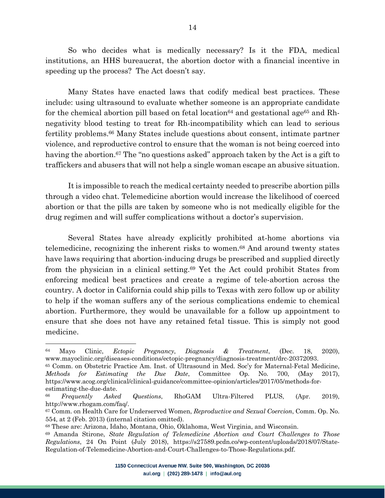So who decides what is medically necessary? Is it the FDA, medical institutions, an HHS bureaucrat, the abortion doctor with a financial incentive in speeding up the process? The Act doesn't say.

Many States have enacted laws that codify medical best practices. These include: using ultrasound to evaluate whether someone is an appropriate candidate for the chemical abortion pill based on fetal location<sup>64</sup> and gestational age<sup>65</sup> and Rhnegativity blood testing to treat for Rh-incompatibility which can lead to serious fertility problems.66 Many States include questions about consent, intimate partner violence, and reproductive control to ensure that the woman is not being coerced into having the abortion.<sup>67</sup> The "no questions asked" approach taken by the Act is a gift to traffickers and abusers that will not help a single woman escape an abusive situation.

It is impossible to reach the medical certainty needed to prescribe abortion pills through a video chat. Telemedicine abortion would increase the likelihood of coerced abortion or that the pills are taken by someone who is not medically eligible for the drug regimen and will suffer complications without a doctor's supervision.

Several States have already explicitly prohibited at-home abortions via telemedicine, recognizing the inherent risks to women.68 And around twenty states have laws requiring that abortion-inducing drugs be prescribed and supplied directly from the physician in a clinical setting.69 Yet the Act could prohibit States from enforcing medical best practices and create a regime of tele-abortion across the country. A doctor in California could ship pills to Texas with zero follow up or ability to help if the woman suffers any of the serious complications endemic to chemical abortion. Furthermore, they would be unavailable for a follow up appointment to ensure that she does not have any retained fetal tissue. This is simply not good medicine.

<sup>64</sup> Mayo Clinic, *Ectopic Pregnancy*, *Diagnosis & Treatment*, (Dec. 18, 2020), www.mayoclinic.org/diseases-conditions/ectopic-pregnancy/diagnosis-treatment/drc-20372093.

<sup>65</sup> Comm. on Obstetric Practice Am. Inst. of Ultrasound in Med. Soc'y for Maternal-Fetal Medicine, *Methods for Estimating the Due Date*, Committee Op. No. 700, (May 2017), https://www.acog.org/clinical/clinical-guidance/committee-opinion/articles/2017/05/methods-forestimating-the-due-date.

<sup>66</sup> *Frequently Asked Questions*, RhoGAM Ultra-Filtered PLUS, (Apr. 2019), http://www.rhogam.com/faq/.

<sup>67</sup> Comm. on Health Care for Underserved Women, *Reproductive and Sexual Coercion*, Comm. Op. No. 554, at 2 (Feb. 2013) (internal citation omitted).

<sup>68</sup> These are: Arizona, Idaho, Montana, Ohio, Oklahoma, West Virginia, and Wisconsin.

<sup>69</sup> Amanda Stirone, *State Regulation of Telemedicine Abortion and Court Challenges to Those Regulations*, 24 On Point (July 2018), https://s27589.pcdn.co/wp-content/uploads/2018/07/State-Regulation-of-Telemedicine-Abortion-and-Court-Challenges-to-Those-Regulations.pdf.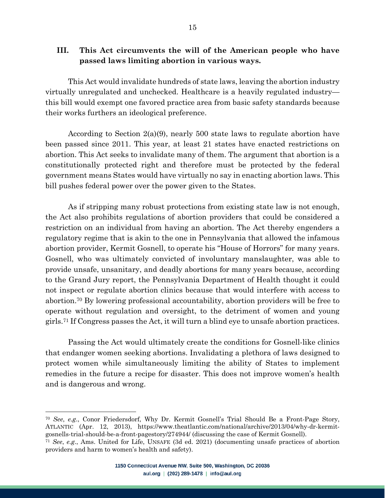This Act would invalidate hundreds of state laws, leaving the abortion industry virtually unregulated and unchecked. Healthcare is a heavily regulated industry this bill would exempt one favored practice area from basic safety standards because their works furthers an ideological preference.

According to Section 2(a)(9), nearly 500 state laws to regulate abortion have been passed since 2011. This year, at least 21 states have enacted restrictions on abortion. This Act seeks to invalidate many of them. The argument that abortion is a constitutionally protected right and therefore must be protected by the federal government means States would have virtually no say in enacting abortion laws. This bill pushes federal power over the power given to the States.

As if stripping many robust protections from existing state law is not enough, the Act also prohibits regulations of abortion providers that could be considered a restriction on an individual from having an abortion. The Act thereby engenders a regulatory regime that is akin to the one in Pennsylvania that allowed the infamous abortion provider, Kermit Gosnell, to operate his "House of Horrors" for many years. Gosnell, who was ultimately convicted of involuntary manslaughter, was able to provide unsafe, unsanitary, and deadly abortions for many years because, according to the Grand Jury report, the Pennsylvania Department of Health thought it could not inspect or regulate abortion clinics because that would interfere with access to abortion.70 By lowering professional accountability, abortion providers will be free to operate without regulation and oversight, to the detriment of women and young girls.71 If Congress passes the Act, it will turn a blind eye to unsafe abortion practices.

Passing the Act would ultimately create the conditions for Gosnell-like clinics that endanger women seeking abortions. Invalidating a plethora of laws designed to protect women while simultaneously limiting the ability of States to implement remedies in the future a recipe for disaster. This does not improve women's health and is dangerous and wrong.

<sup>70</sup> *See*, *e.g*., Conor Friedersdorf, Why Dr. Kermit Gosnell's Trial Should Be a Front-Page Story, ATLANTIC (Apr. 12, 2013), https://www.theatlantic.com/national/archive/2013/04/why-dr-kermitgosnells-trial-should-be-a-front-pagestory/274944/ (discussing the case of Kermit Gosnell).

<sup>71</sup> *See*, *e.g*., Ams. United for Life, UNSAFE (3d ed. 2021) (documenting unsafe practices of abortion providers and harm to women's health and safety).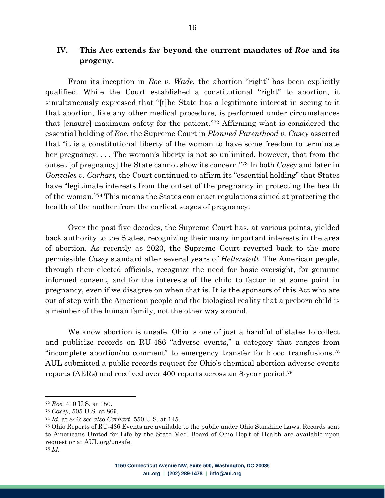## **IV. This Act extends far beyond the current mandates of** *Roe* **and its progeny.**

From its inception in *Roe v. Wade*, the abortion "right" has been explicitly qualified. While the Court established a constitutional "right" to abortion, it simultaneously expressed that "[t]he State has a legitimate interest in seeing to it that abortion, like any other medical procedure, is performed under circumstances that [ensure] maximum safety for the patient."72 Affirming what is considered the essential holding of *Roe*, the Supreme Court in *Planned Parenthood v. Casey* asserted that "it is a constitutional liberty of the woman to have some freedom to terminate her pregnancy.... The woman's liberty is not so unlimited, however, that from the outset [of pregnancy] the State cannot show its concern."73 In both *Casey* and later in *Gonzales v. Carhart*, the Court continued to affirm its "essential holding" that States have "legitimate interests from the outset of the pregnancy in protecting the health of the woman."74 This means the States can enact regulations aimed at protecting the health of the mother from the earliest stages of pregnancy.

Over the past five decades, the Supreme Court has, at various points, yielded back authority to the States, recognizing their many important interests in the area of abortion. As recently as 2020, the Supreme Court reverted back to the more permissible *Casey* standard after several years of *Hellerstedt*. The American people, through their elected officials, recognize the need for basic oversight, for genuine informed consent, and for the interests of the child to factor in at some point in pregnancy, even if we disagree on when that is. It is the sponsors of this Act who are out of step with the American people and the biological reality that a preborn child is a member of the human family, not the other way around.

We know abortion is unsafe. Ohio is one of just a handful of states to collect and publicize records on RU-486 "adverse events," a category that ranges from "incomplete abortion/no comment" to emergency transfer for blood transfusions.75 AUL submitted a public records request for Ohio's chemical abortion adverse events reports (AERs) and received over 400 reports across an 8-year period.76

<sup>72</sup> *Roe*, 410 U.S. at 150.

<sup>73</sup> *Casey*, 505 U.S. at 869.

<sup>74</sup> *Id.* at 846; *see also Carhart*, 550 U.S. at 145.

<sup>75</sup> Ohio Reports of RU-486 Events are available to the public under Ohio Sunshine Laws. Records sent to Americans United for Life by the State Med. Board of Ohio Dep't of Health are available upon request or at AUL.org/unsafe.

<sup>76</sup> *Id.*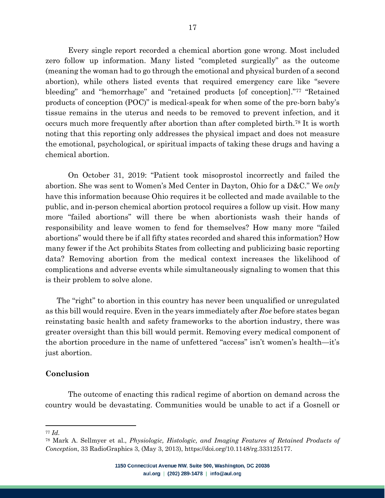Every single report recorded a chemical abortion gone wrong. Most included zero follow up information. Many listed "completed surgically" as the outcome (meaning the woman had to go through the emotional and physical burden of a second abortion), while others listed events that required emergency care like "severe bleeding" and "hemorrhage" and "retained products [of conception]."77 "Retained products of conception (POC)" is medical-speak for when some of the pre-born baby's tissue remains in the uterus and needs to be removed to prevent infection, and it occurs much more frequently after abortion than after completed birth.78 It is worth noting that this reporting only addresses the physical impact and does not measure the emotional, psychological, or spiritual impacts of taking these drugs and having a chemical abortion.

On October 31, 2019: "Patient took misoprostol incorrectly and failed the abortion. She was sent to Women's Med Center in Dayton, Ohio for a D&C." We *only* have this information because Ohio requires it be collected and made available to the public, and in-person chemical abortion protocol requires a follow up visit. How many more "failed abortions" will there be when abortionists wash their hands of responsibility and leave women to fend for themselves? How many more "failed abortions" would there be if all fifty states recorded and shared this information? How many fewer if the Act prohibits States from collecting and publicizing basic reporting data? Removing abortion from the medical context increases the likelihood of complications and adverse events while simultaneously signaling to women that this is their problem to solve alone.

The "right" to abortion in this country has never been unqualified or unregulated as this bill would require. Even in the years immediately after *Roe* before states began reinstating basic health and safety frameworks to the abortion industry, there was greater oversight than this bill would permit. Removing every medical component of the abortion procedure in the name of unfettered "access" isn't women's health—it's just abortion.

#### **Conclusion**

The outcome of enacting this radical regime of abortion on demand across the country would be devastating. Communities would be unable to act if a Gosnell or

<sup>77</sup> *Id.*

<sup>78</sup> Mark A. Sellmyer et al., *Physiologic, Histologic, and Imaging Features of Retained Products of Conception*, 33 RadioGraphics 3, (May 3, 2013), https://doi.org/10.1148/rg.333125177.